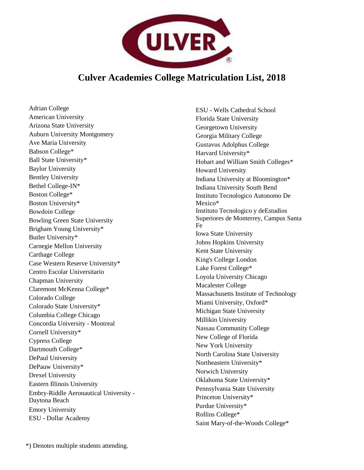

## **Culver Academies College Matriculation List, 2018**

Adrian College American University Arizona State University Auburn University Montgomery Ave Maria University Babson College\* Ball State University\* Baylor University Bentley University Bethel College-IN\* Boston College\* Boston University\* Bowdoin College Bowling Green State University Brigham Young University\* Butler University\* Carnegie Mellon University Carthage College Case Western Reserve University\* Centro Escolar Universitario Chapman University Claremont McKenna College\* Colorado College Colorado State University\* Columbia College Chicago Concordia University - Montreal Cornell University\* Cypress College Dartmouth College\* DePaul University DePauw University\* Drexel University Eastern Illinois University Embry-Riddle Aeronautical University - Daytona Beach Emory University ESU - Dollar Academy

ESU - Wells Cathedral School Florida State University Georgetown University Georgia Military College Gustavus Adolphus College Harvard University\* Hobart and William Smith Colleges\* Howard University Indiana University at Bloomington\* Indiana University South Bend Instituto Tecnologico Autonomo De Mexico\* Instituto Tecnologico y deEstudios Superiores de Monterrey, Campus Santa Fe Iowa State University Johns Hopkins University Kent State University King's College London Lake Forest College\* Loyola University Chicago Macalester College Massachusetts Institute of Technology Miami University, Oxford\* Michigan State University Millikin University Nassau Community College New College of Florida New York University North Carolina State University Northeastern University\* Norwich University Oklahoma State University\* Pennsylvania State University Princeton University\* Purdue University\* Rollins College\* Saint Mary-of-the-Woods College\*